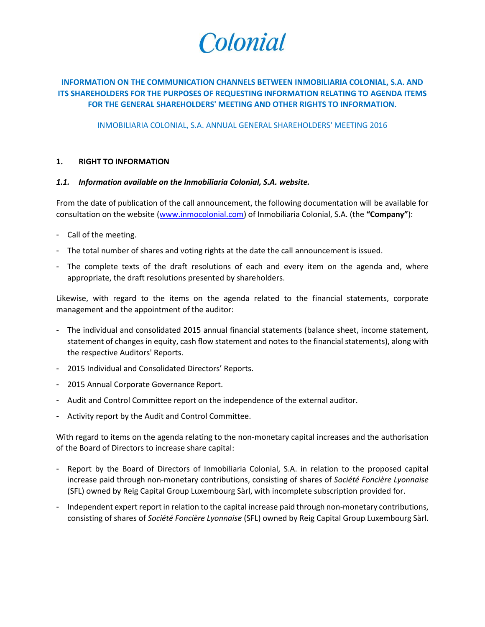

# **INFORMATION ON THE COMMUNICATION CHANNELS BETWEEN INMOBILIARIA COLONIAL, S.A. AND ITS SHAREHOLDERS FOR THE PURPOSES OF REQUESTING INFORMATION RELATING TO AGENDA ITEMS FOR THE GENERAL SHAREHOLDERS' MEETING AND OTHER RIGHTS TO INFORMATION.**

INMOBILIARIA COLONIAL, S.A. ANNUAL GENERAL SHAREHOLDERS' MEETING 2016

#### **1. RIGHT TO INFORMATION**

#### *1.1. Information available on the Inmobiliaria Colonial, S.A. website.*

From the date of publication of the call announcement, the following documentation will be available for consultation on the website [\(www.inmocolonial.com\)](http://www.inmocolonial.es/) of Inmobiliaria Colonial, S.A. (the **"Company"**):

- Call of the meeting.
- The total number of shares and voting rights at the date the call announcement is issued.
- The complete texts of the draft resolutions of each and every item on the agenda and, where appropriate, the draft resolutions presented by shareholders.

Likewise, with regard to the items on the agenda related to the financial statements, corporate management and the appointment of the auditor:

- The individual and consolidated 2015 annual financial statements (balance sheet, income statement, statement of changes in equity, cash flow statement and notes to the financial statements), along with the respective Auditors' Reports.
- 2015 Individual and Consolidated Directors' Reports.
- 2015 Annual Corporate Governance Report.
- Audit and Control Committee report on the independence of the external auditor.
- Activity report by the Audit and Control Committee.

With regard to items on the agenda relating to the non-monetary capital increases and the authorisation of the Board of Directors to increase share capital:

- Report by the Board of Directors of Inmobiliaria Colonial, S.A. in relation to the proposed capital increase paid through non-monetary contributions, consisting of shares of *Société Foncière Lyonnaise* (SFL) owned by Reig Capital Group Luxembourg Sàrl, with incomplete subscription provided for.
- Independent expert report in relation to the capital increase paid through non-monetary contributions, consisting of shares of *Société Foncière Lyonnaise* (SFL) owned by Reig Capital Group Luxembourg Sàrl.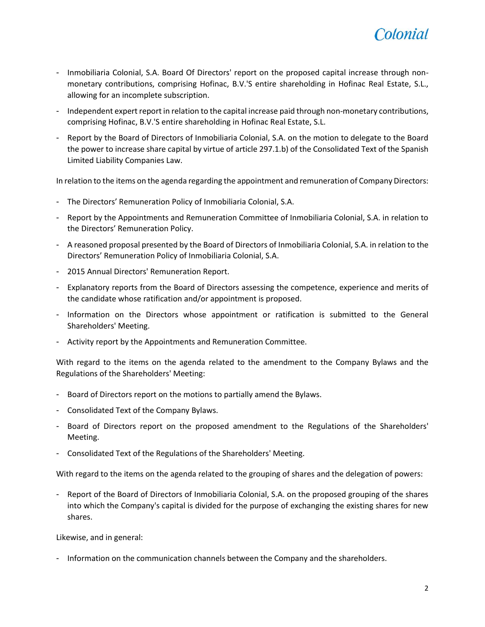

- Inmobiliaria Colonial, S.A. Board Of Directors' report on the proposed capital increase through nonmonetary contributions, comprising Hofinac, B.V.'S entire shareholding in Hofinac Real Estate, S.L., allowing for an incomplete subscription.
- Independent expert report in relation to the capital increase paid through non-monetary contributions, comprising Hofinac, B.V.'S entire shareholding in Hofinac Real Estate, S.L.
- Report by the Board of Directors of Inmobiliaria Colonial, S.A. on the motion to delegate to the Board the power to increase share capital by virtue of article 297.1.b) of the Consolidated Text of the Spanish Limited Liability Companies Law.

In relation to the items on the agenda regarding the appointment and remuneration of Company Directors:

- The Directors' Remuneration Policy of Inmobiliaria Colonial, S.A.
- Report by the Appointments and Remuneration Committee of Inmobiliaria Colonial, S.A. in relation to the Directors' Remuneration Policy.
- A reasoned proposal presented by the Board of Directors of Inmobiliaria Colonial, S.A. in relation to the Directors' Remuneration Policy of Inmobiliaria Colonial, S.A.
- 2015 Annual Directors' Remuneration Report.
- Explanatory reports from the Board of Directors assessing the competence, experience and merits of the candidate whose ratification and/or appointment is proposed.
- Information on the Directors whose appointment or ratification is submitted to the General Shareholders' Meeting.
- Activity report by the Appointments and Remuneration Committee.

With regard to the items on the agenda related to the amendment to the Company Bylaws and the Regulations of the Shareholders' Meeting:

- Board of Directors report on the motions to partially amend the Bylaws.
- Consolidated Text of the Company Bylaws.
- Board of Directors report on the proposed amendment to the Regulations of the Shareholders' Meeting.
- Consolidated Text of the Regulations of the Shareholders' Meeting.

With regard to the items on the agenda related to the grouping of shares and the delegation of powers:

- Report of the Board of Directors of Inmobiliaria Colonial, S.A. on the proposed grouping of the shares into which the Company's capital is divided for the purpose of exchanging the existing shares for new shares.

Likewise, and in general:

- Information on the communication channels between the Company and the shareholders.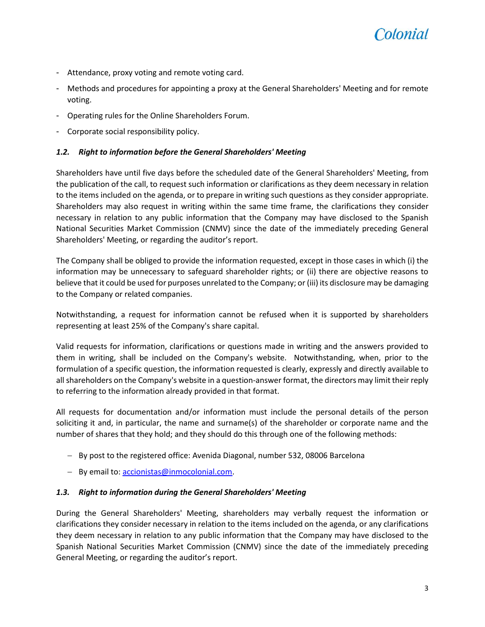

- Attendance, proxy voting and remote voting card.
- Methods and procedures for appointing a proxy at the General Shareholders' Meeting and for remote voting.
- Operating rules for the Online Shareholders Forum.
- Corporate social responsibility policy.

## *1.2. Right to information before the General Shareholders' Meeting*

Shareholders have until five days before the scheduled date of the General Shareholders' Meeting, from the publication of the call, to request such information or clarifications as they deem necessary in relation to the items included on the agenda, or to prepare in writing such questions as they consider appropriate. Shareholders may also request in writing within the same time frame, the clarifications they consider necessary in relation to any public information that the Company may have disclosed to the Spanish National Securities Market Commission (CNMV) since the date of the immediately preceding General Shareholders' Meeting, or regarding the auditor's report.

The Company shall be obliged to provide the information requested, except in those cases in which (i) the information may be unnecessary to safeguard shareholder rights; or (ii) there are objective reasons to believe that it could be used for purposes unrelated to the Company; or (iii) its disclosure may be damaging to the Company or related companies.

Notwithstanding, a request for information cannot be refused when it is supported by shareholders representing at least 25% of the Company's share capital.

Valid requests for information, clarifications or questions made in writing and the answers provided to them in writing, shall be included on the Company's website. Notwithstanding, when, prior to the formulation of a specific question, the information requested is clearly, expressly and directly available to all shareholders on the Company's website in a question-answer format, the directors may limit their reply to referring to the information already provided in that format.

All requests for documentation and/or information must include the personal details of the person soliciting it and, in particular, the name and surname(s) of the shareholder or corporate name and the number of shares that they hold; and they should do this through one of the following methods:

- By post to the registered office: Avenida Diagonal, number 532, 08006 Barcelona
- By email to[: accionistas@inmocolonial.com.](mailto:accionistas@inmocolonial.com)

## *1.3. Right to information during the General Shareholders' Meeting*

During the General Shareholders' Meeting, shareholders may verbally request the information or clarifications they consider necessary in relation to the items included on the agenda, or any clarifications they deem necessary in relation to any public information that the Company may have disclosed to the Spanish National Securities Market Commission (CNMV) since the date of the immediately preceding General Meeting, or regarding the auditor's report.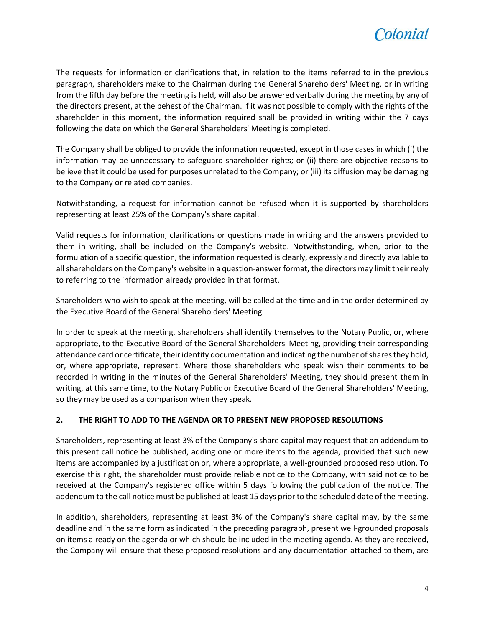

The requests for information or clarifications that, in relation to the items referred to in the previous paragraph, shareholders make to the Chairman during the General Shareholders' Meeting, or in writing from the fifth day before the meeting is held, will also be answered verbally during the meeting by any of the directors present, at the behest of the Chairman. If it was not possible to comply with the rights of the shareholder in this moment, the information required shall be provided in writing within the 7 days following the date on which the General Shareholders' Meeting is completed.

The Company shall be obliged to provide the information requested, except in those cases in which (i) the information may be unnecessary to safeguard shareholder rights; or (ii) there are objective reasons to believe that it could be used for purposes unrelated to the Company; or (iii) its diffusion may be damaging to the Company or related companies.

Notwithstanding, a request for information cannot be refused when it is supported by shareholders representing at least 25% of the Company's share capital.

Valid requests for information, clarifications or questions made in writing and the answers provided to them in writing, shall be included on the Company's website. Notwithstanding, when, prior to the formulation of a specific question, the information requested is clearly, expressly and directly available to all shareholders on the Company's website in a question-answer format, the directors may limit their reply to referring to the information already provided in that format.

Shareholders who wish to speak at the meeting, will be called at the time and in the order determined by the Executive Board of the General Shareholders' Meeting.

In order to speak at the meeting, shareholders shall identify themselves to the Notary Public, or, where appropriate, to the Executive Board of the General Shareholders' Meeting, providing their corresponding attendance card or certificate, their identity documentation and indicating the number of shares they hold, or, where appropriate, represent. Where those shareholders who speak wish their comments to be recorded in writing in the minutes of the General Shareholders' Meeting, they should present them in writing, at this same time, to the Notary Public or Executive Board of the General Shareholders' Meeting, so they may be used as a comparison when they speak.

## **2. THE RIGHT TO ADD TO THE AGENDA OR TO PRESENT NEW PROPOSED RESOLUTIONS**

Shareholders, representing at least 3% of the Company's share capital may request that an addendum to this present call notice be published, adding one or more items to the agenda, provided that such new items are accompanied by a justification or, where appropriate, a well-grounded proposed resolution. To exercise this right, the shareholder must provide reliable notice to the Company, with said notice to be received at the Company's registered office within 5 days following the publication of the notice. The addendum to the call notice must be published at least 15 days prior to the scheduled date of the meeting.

In addition, shareholders, representing at least 3% of the Company's share capital may, by the same deadline and in the same form as indicated in the preceding paragraph, present well-grounded proposals on items already on the agenda or which should be included in the meeting agenda. As they are received, the Company will ensure that these proposed resolutions and any documentation attached to them, are